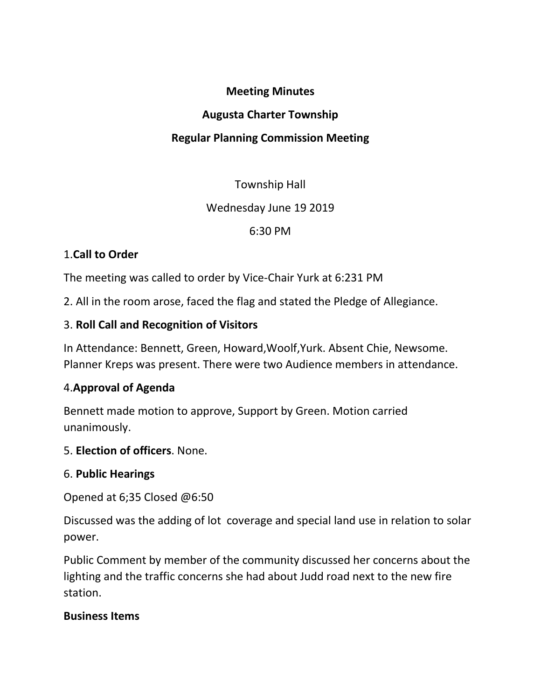#### **Meeting Minutes**

#### **Augusta Charter Township**

### **Regular Planning Commission Meeting**

# Township Hall

### Wednesday June 19 2019

# 6:30 PM

# 1.**Call to Order**

The meeting was called to order by Vice-Chair Yurk at 6:231 PM

2. All in the room arose, faced the flag and stated the Pledge of Allegiance.

# 3. **Roll Call and Recognition of Visitors**

In Attendance: Bennett, Green, Howard,Woolf,Yurk. Absent Chie, Newsome. Planner Kreps was present. There were two Audience members in attendance.

# 4.**Approval of Agenda**

Bennett made motion to approve, Support by Green. Motion carried unanimously.

### 5. **Election of officers**. None.

### 6. **Public Hearings**

Opened at 6;35 Closed @6:50

Discussed was the adding of lot coverage and special land use in relation to solar power.

Public Comment by member of the community discussed her concerns about the lighting and the traffic concerns she had about Judd road next to the new fire station.

### **Business Items**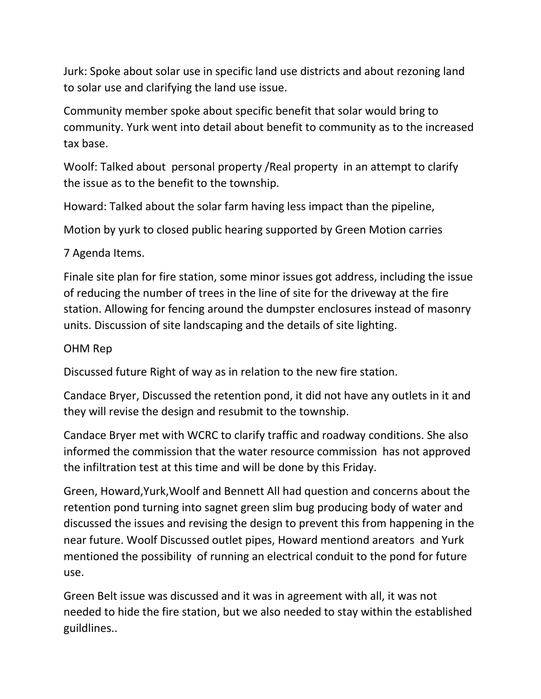Jurk: Spoke about solar use in specific land use districts and about rezoning land to solar use and clarifying the land use issue.

Community member spoke about specific benefit that solar would bring to community. Yurk went into detail about benefit to community as to the increased tax base.

Woolf: Talked about personal property /Real property in an attempt to clarify the issue as to the benefit to the township.

Howard: Talked about the solar farm having less impact than the pipeline,

Motion by yurk to closed public hearing supported by Green Motion carries

### 7 Agenda Items.

Finale site plan for fire station, some minor issues got address, including the issue of reducing the number of trees in the line of site for the driveway at the fire station. Allowing for fencing around the dumpster enclosures instead of masonry units. Discussion of site landscaping and the details of site lighting.

#### OHM Rep

Discussed future Right of way as in relation to the new fire station.

Candace Bryer, Discussed the retention pond, it did not have any outlets in it and they will revise the design and resubmit to the township.

Candace Bryer met with WCRC to clarify traffic and roadway conditions. She also informed the commission that the water resource commission has not approved the infiltration test at this time and will be done by this Friday.

Green, Howard,Yurk,Woolf and Bennett All had question and concerns about the retention pond turning into sagnet green slim bug producing body of water and discussed the issues and revising the design to prevent this from happening in the near future. Woolf Discussed outlet pipes, Howard mentiond areators and Yurk mentioned the possibility of running an electrical conduit to the pond for future use.

Green Belt issue was discussed and it was in agreement with all, it was not needed to hide the fire station, but we also needed to stay within the established guildlines..